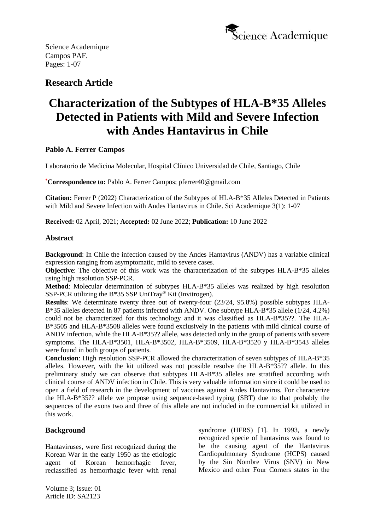

# **Research Article**

# **Characterization of the Subtypes of HLA-B\*35 Alleles Detected in Patients with Mild and Severe Infection with Andes Hantavirus in Chile**

# **Pablo A. Ferrer Campos**

Laboratorio de Medicina Molecular, Hospital Clínico Universidad de Chile, Santiago, Chile

**\*Correspondence to:** Pablo A. Ferrer Campos; pferrer40@gmail.com

**Citation:** Ferrer P (2022) Characterization of the Subtypes of HLA-B\*35 Alleles Detected in Patients with Mild and Severe Infection with Andes Hantavirus in Chile. Sci Academique 3(1): 1-07

**Received:** 02 April, 2021; **Accepted:** 02 June 2022; **Publication:** 10 June 2022

# **Abstract**

**Background**: In Chile the infection caused by the Andes Hantavirus (ANDV) has a variable clinical expression ranging from asymptomatic, mild to severe cases.

**Objective**: The objective of this work was the characterization of the subtypes HLA-B\*35 alleles using high resolution SSP-PCR.

**Method**: Molecular determination of subtypes HLA-B\*35 alleles was realized by high resolution SSP-PCR utilizing the B\*35 SSP UniTray® Kit (Invitrogen).

**Results**: We determinate twenty three out of twenty-four (23/24, 95.8%) possible subtypes HLA-B\*35 alleles detected in 87 patients infected with ANDV. One subtype HLA-B\*35 allele (1/24, 4.2%) could not be characterized for this technology and it was classified as HLA-B\*35??. The HLA-B\*3505 and HLA-B\*3508 alleles were found exclusively in the patients with mild clinical course of ANDV infection, while the HLA-B\*35?? allele, was detected only in the group of patients with severe symptoms. The HLA-B\*3501, HLA-B\*3502, HLA-B\*3509, HLA-B\*3520 y HLA-B\*3543 alleles were found in both groups of patients.

**Conclusion**: High resolution SSP-PCR allowed the characterization of seven subtypes of HLA-B\*35 alleles. However, with the kit utilized was not possible resolve the HLA-B\*35?? allele. In this preliminary study we can observe that subtypes HLA-B\*35 alleles are stratified according with clinical course of ANDV infection in Chile. This is very valuable information since it could be used to open a field of research in the development of vaccines against Andes Hantavirus. For characterize the HLA-B\*35?? allele we propose using sequence-based typing (SBT) due to that probably the sequences of the exons two and three of this allele are not included in the commercial kit utilized in this work.

# **Background**

Hantaviruses, were first recognized during the Korean War in the early 1950 as the etiologic agent of Korean hemorrhagic fever, reclassified as hemorrhagic fever with renal

syndrome (HFRS) [1]. In 1993, a newly recognized specie of hantavirus was found to be the causing agent of the Hantavirus Cardiopulmonary Syndrome (HCPS) caused by the Sin Nombre Virus (SNV) in New Mexico and other Four Corners states in the

Volume 3; Issue: 01 Article ID: SA2123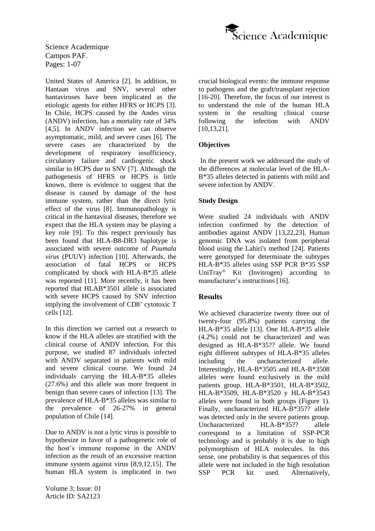

United States of America [2]. In addition, to Hantaan virus and SNV, several other hantaviruses have been implicated as the etiologic agents for either HFRS or HCPS [3]. In Chile, HCPS caused by the Andes virus (ANDV) infection, has a mortality rate of 34% [4,5]. In ANDV infection we can observe asymptomatic, mild, and severe cases [6]. The severe cases are characterized by the development of respiratory insufficiency, circulatory failure and cardiogenic shock similar to HCPS due to SNV [7]. Although the pathogenesis of HFRS or HCPS is little known, there is evidence to suggest that the disease is caused by damage of the host immune system, rather than the direct lytic effect of the virus [8]. Immunopathology is critical in the hantaviral diseases, therefore we expect that the HLA system may be playing a key role [9]. To this respect previously has been found that HLA-B8-DR3 haplotype is associated with severe outcome of *Puumala virus* (PUUV) infection [10]. Afterwards, the association of fatal HCPS or HCPS complicated by shock with HLA-B\*35 allele was reported [11]. More recently, it has been reported that HLAB\*3501 allele is associated with severe HCPS caused by SNV infection implying the involvement of CD8<sup>+</sup> cytotoxic T cells [12].

In this direction we carried out a research to know if the HLA alleles are stratified with the clinical course of ANDV infection. For this purpose, we studied 87 individuals infected with ANDV separated in patients with mild and severe clinical course. We found 24 individuals carrying the HLA-B\*35 alleles (27.6%) and this allele was more frequent in benign than severe cases of infection [13]. The prevalence of HLA-B\*35 alleles was similar to the prevalence of 26-27% in general population of Chile [14].

Due to ANDV is not a lytic virus is possible to hypothesize in favor of a pathogenetic role of the host's immune response in the ANDV infection as the result of an excessive reaction immune system against virus [8,9,12,15]. The human HLA system is implicated in two

Volume 3; Issue: 01 Article ID: SA2123

crucial biological events: the immune response to pathogens and the graft/transplant rejection [16-20]. Therefore, the focus of our interest is to understand the role of the human HLA system in the resulting clinical course following the infection with ANDV [10,13,21].

#### **Objectives**

In the present work we addressed the study of the differences at molecular level of the HLA-B\*35 alleles detected in patients with mild and severe infection by ANDV.

#### **Study Design**

Were studied 24 individuals with ANDV infection confirmed by the detection of antibodies against ANDV [13,22,23]. Human genomic DNA was isolated from peripheral blood using the Lahiri's method [24]. Patients were genotyped for determinate the subtypes HLA-B\*35 alleles using SSP PCR B\*35 SSP UniTray® Kit (Invitrogen) according to manufacturer's instructions [16].

# **Results**

We achieved characterize twenty three out of twenty-four (95.8%) patients carrying the HLA-B\*35 allele [13]. One HLA-B\*35 allele (4.2%) could not be characterized and was designed as HLA-B\*35?? allele. We found eight different subtypes of HLA-B\*35 alleles including the uncharacterized allele. Interestingly, HLA-B\*3505 and HLA-B\*3508 alleles were found exclusively in the mild patients group. HLA-B\*3501, HLA-B\*3502, HLA-B\*3509, HLA-B\*3520 y HLA-B\*3543 alleles were found in both groups (Figure 1). Finally, uncharacterized HLA-B\*35?? allele was detected only in the severe patients group. Uncharacterized HLA-B<sup>\*35??</sup> allele correspond to a limitation of SSP-PCR technology and is probably it is due to high polymorphism of HLA molecules. In this sense, one probability is that sequences of this allele were not included in the high resolution SSP PCR kit used. Alternatively,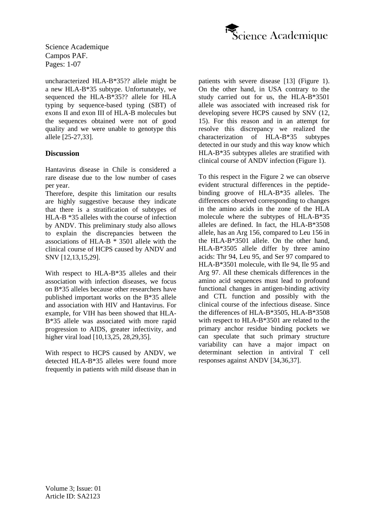

uncharacterized HLA-B\*35?? allele might be a new HLA-B\*35 subtype. Unfortunately, we sequenced the HLA-B\*35?? allele for HLA typing by sequence-based typing (SBT) of exons II and exon III of HLA-B molecules but the sequences obtained were not of good quality and we were unable to genotype this allele [25-27,33].

#### **Discussion**

Hantavirus disease in Chile is considered a rare disease due to the low number of cases per year.

Therefore, despite this limitation our results are highly suggestive because they indicate that there is a stratification of subtypes of HLA-B \*35 alleles with the course of infection by ANDV. This preliminary study also allows to explain the discrepancies between the associations of HLA-B \* 3501 allele with the clinical course of HCPS caused by ANDV and SNV [12,13,15,29].

With respect to HLA-B\*35 alleles and their association with infection diseases, we focus on B\*35 alleles because other researchers have published important works on the B\*35 allele and association with HIV and Hantavirus. For example, for VIH has been showed that HLA-B\*35 allele was associated with more rapid progression to AIDS, greater infectivity, and higher viral load [10,13,25, 28,29,35].

With respect to HCPS caused by ANDV, we detected HLA-B\*35 alleles were found more frequently in patients with mild disease than in patients with severe disease [13] (Figure 1). On the other hand, in USA contrary to the study carried out for us, the HLA-B\*3501 allele was associated with increased risk for developing severe HCPS caused by SNV (12, 15). For this reason and in an attempt for resolve this discrepancy we realized the characterization of HLA-B\*35 subtypes detected in our study and this way know which HLA-B\*35 subtypes alleles are stratified with clinical course of ANDV infection (Figure 1).

To this respect in the Figure 2 we can observe evident structural differences in the peptidebinding groove of HLA-B\*35 alleles. The differences observed corresponding to changes in the amino acids in the zone of the HLA molecule where the subtypes of HLA-B\*35 alleles are defined. In fact, the HLA-B\*3508 allele, has an Arg 156, compared to Leu 156 in the HLA-B\*3501 allele. On the other hand, HLA-B\*3505 allele differ by three amino acids: Thr 94, Leu 95, and Ser 97 compared to HLA-B\*3501 molecule, with Ile 94, Ile 95 and Arg 97. All these chemicals differences in the amino acid sequences must lead to profound functional changes in antigen-binding activity and CTL function and possibly with the clinical course of the infectious disease. Since the differences of HLA-B\*3505, HLA-B\*3508 with respect to HLA-B\*3501 are related to the primary anchor residue binding pockets we can speculate that such primary structure variability can have a major impact on determinant selection in antiviral T cell responses against ANDV [34,36,37].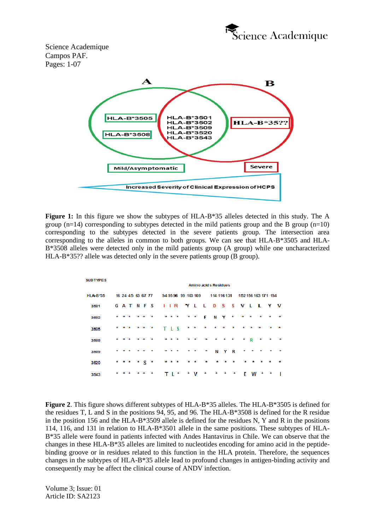



**Figure 1:** In this figure we show the subtypes of HLA-B\*35 alleles detected in this study. The A group (n=14) corresponding to subtypes detected in the mild patients group and the B group (n=10) corresponding to the subtypes detected in the severe patients group. The intersection area corresponding to the alleles in common to both groups. We can see that HLA-B\*3505 and HLA-B\*3508 alleles were detected only in the mild patients group (A group) while one uncharacterized HLA-B\*35?? allele was detected only in the severe patients group (B group).

| <b>SUB TYPES</b> | Amino acids Residues |       |   |  |     |                 |  |                     |         |       |                             |                 |         |             |           |              |           |                     |         |         |           |  |
|------------------|----------------------|-------|---|--|-----|-----------------|--|---------------------|---------|-------|-----------------------------|-----------------|---------|-------------|-----------|--------------|-----------|---------------------|---------|---------|-----------|--|
|                  |                      |       |   |  |     |                 |  |                     |         |       |                             |                 |         |             |           |              |           |                     |         |         |           |  |
| HLA-B*35         | 16 24 45 63 67 77    |       |   |  |     |                 |  | 94 95 96 99 103 109 |         |       |                             |                 |         | 114 116 131 |           |              |           | 152 156 163 171 194 |         |         |           |  |
| 3501             |                      |       |   |  |     | <b>GATNFS</b>   |  |                     |         |       | I I R Y L L D S S V L L Y V |                 |         |             |           |              |           |                     |         |         |           |  |
| 3502             | $\star$              | * *   |   |  | * * | $\star$         |  |                     |         | * * * |                             | $\star$ $\star$ | - F     | NY          |           | $\pmb{\ast}$ | $\star$   | $\star$             | $\star$ | $\star$ | $\star$   |  |
| 3505             | $\star$              | * *   |   |  | * * | ×               |  |                     |         | TLS   | *                           | 大               | $\star$ | $\star$     | $\star$   | $\star$      | ×         | $\star$             | $\star$ | ×       | - 25      |  |
| 3508             |                      |       |   |  |     | $\star$         |  | $\star$             | $\star$ | 大     | ×                           | $\star$         | ÷       | $\star$     | $\star$   | $\star$      |           | $*$ R               | 大       | ×       | $\star$   |  |
| 3509             |                      |       | 大 |  | * * | $\star$         |  | $\star$             | $\star$ | 大     | $\star$                     | $\star$         | ×       |             | N Y R     |              | ×         | $\star$             | $\star$ | $\star$ | $\star$   |  |
| 3520             |                      | * * * |   |  |     | $\cdot$ $\cdot$ |  |                     |         | * * * |                             | 素 素             | ÷       | 53.         | $\bullet$ | $\bullet$    | $\bullet$ | $\bullet$           | ٠       | *       | $\bullet$ |  |
| 3543             |                      | * * * |   |  | * * | $\star$         |  |                     |         | TI*   |                             | * V             | ÷       | ÷           | ÷         | *            | F.        | W                   | ×       | ×       |           |  |

**Figure 2**. This figure shows different subtypes of HLA-B\*35 alleles. The HLA-B\*3505 is defined for the residues T, L and S in the positions 94, 95, and 96. The HLA-B\*3508 is defined for the R residue in the position 156 and the HLA-B\*3509 allele is defined for the residues N, Y and R in the positions 114, 116, and 131 in relation to HLA-B\*3501 allele in the same positions. These subtypes of HLA-B\*35 allele were found in patients infected with Andes Hantavirus in Chile. We can observe that the changes in these HLA-B\*35 alleles are limited to nucleotides encoding for amino acid in the peptidebinding groove or in residues related to this function in the HLA protein. Therefore, the sequences changes in the subtypes of HLA-B\*35 allele lead to profound changes in antigen-binding activity and consequently may be affect the clinical course of ANDV infection.

Volume 3; Issue: 01 Article ID: SA2123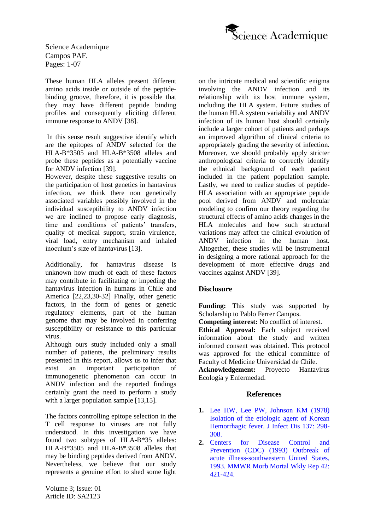

These human HLA alleles present different amino acids inside or outside of the peptidebinding groove, therefore, it is possible that they may have different peptide binding profiles and consequently eliciting different immune response to ANDV [38].

In this sense result suggestive identify which are the epitopes of ANDV selected for the HLA-B\*3505 and HLA-B\*3508 alleles and probe these peptides as a potentially vaccine for ANDV infection [39].

However, despite these suggestive results on the participation of host genetics in hantavirus infection, we think there non genetically associated variables possibly involved in the individual susceptibility to ANDV infection we are inclined to propose early diagnosis, time and conditions of patients' transfers, quality of medical support, strain virulence, viral load, entry mechanism and inhaled inoculum's size of hantavirus [13].

Additionally, for hantavirus disease is unknown how much of each of these factors may contribute in facilitating or impeding the hantavirus infection in humans in Chile and America [22,23,30-32] Finally, other genetic factors, in the form of genes or genetic regulatory elements, part of the human genome that may be involved in conferring susceptibility or resistance to this particular virus.

Although ours study included only a small number of patients, the preliminary results presented in this report, allows us to infer that exist an important participation of immunogenetic phenomenon can occur in ANDV infection and the reported findings certainly grant the need to perform a study with a larger population sample [13,15].

The factors controlling epitope selection in the T cell response to viruses are not fully understood. In this investigation we have found two subtypes of HLA-B\*35 alleles: HLA-B\*3505 and HLA-B\*3508 alleles that may be binding peptides derived from ANDV. Nevertheless, we believe that our study represents a genuine effort to shed some light

Volume 3; Issue: 01 Article ID: SA2123

on the intricate medical and scientific enigma involving the ANDV infection and its relationship with its host immune system, including the HLA system. Future studies of the human HLA system variability and ANDV infection of its human host should certainly include a larger cohort of patients and perhaps an improved algorithm of clinical criteria to appropriately grading the severity of infection. Moreover, we should probably apply stricter anthropological criteria to correctly identify the ethnical background of each patient included in the patient population sample. Lastly, we need to realize studies of peptide-HLA association with an appropriate peptide pool derived from ANDV and molecular modeling to confirm our theory regarding the structural effects of amino acids changes in the HLA molecules and how such structural variations may affect the clinical evolution of ANDV infection in the human host. Altogether, these studies will be instrumental in designing a more rational approach for the development of more effective drugs and vaccines against ANDV [39].

# **Disclosure**

**Funding:** This study was supported by Scholarship to Pablo Ferrer Campos.

**Competing interest:** No conflict of interest.

**Ethical Approval:** Each subject received information about the study and written informed consent was obtained. This protocol was approved for the ethical committee of Faculty of Medicine Universidad de Chile.

**Acknowledgement:** Proyecto Hantavirus Ecología y Enfermedad.

#### **References**

- **1.** [Lee HW, Lee PW, Johnson KM \(1978\)](https://pubmed.ncbi.nlm.nih.gov/24670/)  [Isolation of the etiologic agent of Korean](https://pubmed.ncbi.nlm.nih.gov/24670/)  [Hemorrhagic fever. J Infect Dis 137: 298-](https://pubmed.ncbi.nlm.nih.gov/24670/) [308.](https://pubmed.ncbi.nlm.nih.gov/24670/)
- **2.** [Centers for Disease Control and](https://www.cdc.gov/mmwr/preview/mmwrhtml/00020769.htm)  [Prevention \(CDC\) \(1993\) Outbreak of](https://www.cdc.gov/mmwr/preview/mmwrhtml/00020769.htm)  [acute illness-southwestern United States,](https://www.cdc.gov/mmwr/preview/mmwrhtml/00020769.htm)  [1993. MMWR Morb Mortal Wkly Rep 42:](https://www.cdc.gov/mmwr/preview/mmwrhtml/00020769.htm)  [421-424.](https://www.cdc.gov/mmwr/preview/mmwrhtml/00020769.htm)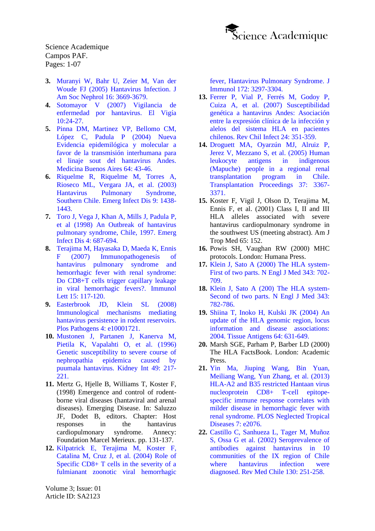

- **3.** [Muranyi W, Bahr U, Zeier M, Van der](https://jasn.asnjournals.org/content/16/12/3669)  [Woude FJ \(2005\) Hantavirus Infection. J](https://jasn.asnjournals.org/content/16/12/3669)  [Am Soc Nephrol 16: 3669-3679.](https://jasn.asnjournals.org/content/16/12/3669)
- **4.** [Sotomayor V \(2007\) Vigilancia de](http://epi.minsal.cl/epi/html/elvigia/Vigia24.pdf.%20Accessed%202009%20Jun%2010)  [enfermedad por hantavirus. El Vigía](http://epi.minsal.cl/epi/html/elvigia/Vigia24.pdf.%20Accessed%202009%20Jun%2010)  [10:24-27.](http://epi.minsal.cl/epi/html/elvigia/Vigia24.pdf.%20Accessed%202009%20Jun%2010)
- **5.** [Pinna DM, Martinez VP, Bellomo CM,](https://www.researchgate.net/publication/262670369_Nueva_evidencia_epidemiologica_y_molecular_a_favor_de_la_transmision_interhumana_para_el_linaje_Sout_del_hantavirus_Andes)  [López C, Padula P \(2004\) Nueva](https://www.researchgate.net/publication/262670369_Nueva_evidencia_epidemiologica_y_molecular_a_favor_de_la_transmision_interhumana_para_el_linaje_Sout_del_hantavirus_Andes)  [Evidencia epidemilógica y molecular a](https://www.researchgate.net/publication/262670369_Nueva_evidencia_epidemiologica_y_molecular_a_favor_de_la_transmision_interhumana_para_el_linaje_Sout_del_hantavirus_Andes)  [favor de la transmisión interhumana para](https://www.researchgate.net/publication/262670369_Nueva_evidencia_epidemiologica_y_molecular_a_favor_de_la_transmision_interhumana_para_el_linaje_Sout_del_hantavirus_Andes)  [el linaje sout del hantavirus Andes.](https://www.researchgate.net/publication/262670369_Nueva_evidencia_epidemiologica_y_molecular_a_favor_de_la_transmision_interhumana_para_el_linaje_Sout_del_hantavirus_Andes)  [Medicina Buenos Aires 64: 43-46.](https://www.researchgate.net/publication/262670369_Nueva_evidencia_epidemiologica_y_molecular_a_favor_de_la_transmision_interhumana_para_el_linaje_Sout_del_hantavirus_Andes)
- **6.** [Riquelme R, Riquelme M, Torres A,](https://www.ncbi.nlm.nih.gov/pmc/articles/PMC4378498/)  [Rioseco ML, Vergara JA, et al. \(2003\)](https://www.ncbi.nlm.nih.gov/pmc/articles/PMC4378498/)  [Hantavirus Pulmonary Syndrome,](https://www.ncbi.nlm.nih.gov/pmc/articles/PMC4378498/)  [Southern Chile. Emerg Infect Dis 9: 1438-](https://www.ncbi.nlm.nih.gov/pmc/articles/PMC4378498/) [1443.](https://www.ncbi.nlm.nih.gov/pmc/articles/PMC4378498/)
- **7.** [Toro J, Vega J, Khan A, Mills J, Padula](https://www.ncbi.nlm.nih.gov/pmc/articles/PMC2640255/) P, [et al \(1998\) An Outbreak of hantavirus](https://www.ncbi.nlm.nih.gov/pmc/articles/PMC2640255/)  [pulmonary syndrome, Chile, 1997. Emerg](https://www.ncbi.nlm.nih.gov/pmc/articles/PMC2640255/)  [Infect Dis 4: 687-694.](https://www.ncbi.nlm.nih.gov/pmc/articles/PMC2640255/)
- **8.** [Terajima M, Hayasaka D, Maeda K, Ennis](https://profiles.umassmed.edu/display/89092)  [F \(2007\) Immunopathogenesis of](https://profiles.umassmed.edu/display/89092)  [hantavirus pulmonary](https://profiles.umassmed.edu/display/89092) syndrome and [hemorrhagic fever with renal syndrome:](https://profiles.umassmed.edu/display/89092)  [Do CD8+T cells trigger capillary leakage](https://profiles.umassmed.edu/display/89092)  [in viral hemorrhagic fevers?. Immunol](https://profiles.umassmed.edu/display/89092)  [Lett 15: 117-120.](https://profiles.umassmed.edu/display/89092)
- **9.** [Easterbrook JD, Klein SL \(2008\)](https://journals.plos.org/plospathogens/article?id=10.1371/journal.ppat.1000172)  [Immunological mechanisms mediating](https://journals.plos.org/plospathogens/article?id=10.1371/journal.ppat.1000172)  [hantavirus persistence in rodent reservoirs.](https://journals.plos.org/plospathogens/article?id=10.1371/journal.ppat.1000172)  [Plos Pathogens 4: e10001721.](https://journals.plos.org/plospathogens/article?id=10.1371/journal.ppat.1000172)
- **10.** [Mustonen J, Partanen J, Kanerva M,](https://pubmed.ncbi.nlm.nih.gov/8770970/)  [Pietila K, Vapalahti O, et al. \(1996\)](https://pubmed.ncbi.nlm.nih.gov/8770970/)  [Genetic susceptibility to severe course of](https://pubmed.ncbi.nlm.nih.gov/8770970/)  [nephropathia epidemica caused by](https://pubmed.ncbi.nlm.nih.gov/8770970/)  [puumala hantavirus. Kidney Int 49: 217-](https://pubmed.ncbi.nlm.nih.gov/8770970/) [221.](https://pubmed.ncbi.nlm.nih.gov/8770970/)
- **11.** Mertz G, Hjelle B, Williams T, Koster F, (1998) Emergence and control of rodentborne viral diseases (hantaviral and arenal diseases). Emerging Disease. In: Saluzzo JF, Dodet B, editors. Chapter: Host responses in the hantavirus cardiopulmonary syndrome. Annecy: Foundation Marcel Merieux. pp. 131-137.
- **12.** [Kilpatrick E, Terajima M, Koster F,](https://pubmed.ncbi.nlm.nih.gov/14978138/)  [Catalina M, Cruz J, et al. \(2004\) Role of](https://pubmed.ncbi.nlm.nih.gov/14978138/)  [Specific CD8+ T cells in the severity of a](https://pubmed.ncbi.nlm.nih.gov/14978138/)  [fulmianant zoonotic viral hemorrhagic](https://pubmed.ncbi.nlm.nih.gov/14978138/)

[fever, Hantavirus Pulmonary Syndrome. J](https://pubmed.ncbi.nlm.nih.gov/14978138/)  [Immunol 172: 3297-3304.](https://pubmed.ncbi.nlm.nih.gov/14978138/)

- **13.** [Ferrer P, Vial P, Ferrés M, Godoy P,](https://www.scielo.cl/scielo.php?script=sci_arttext&pid=S0716-10182007000500001)  [Cuiza A, et al. \(2007\) Susceptibilidad](https://www.scielo.cl/scielo.php?script=sci_arttext&pid=S0716-10182007000500001)  [genética a hantavirus Andes: Asociación](https://www.scielo.cl/scielo.php?script=sci_arttext&pid=S0716-10182007000500001)  [entre la expresión clínica de la infección y](https://www.scielo.cl/scielo.php?script=sci_arttext&pid=S0716-10182007000500001)  [alelos del sistema HLA en pacientes](https://www.scielo.cl/scielo.php?script=sci_arttext&pid=S0716-10182007000500001)  [chilenos. Rev Chil Infect 24: 351-359.](https://www.scielo.cl/scielo.php?script=sci_arttext&pid=S0716-10182007000500001)
- **14.** [Droguett MA, Oyarzún MJ, Alruiz P,](https://pubmed.ncbi.nlm.nih.gov/16298598/)  [Jerez V, Mezzano S, et al. \(2005\) Human](https://pubmed.ncbi.nlm.nih.gov/16298598/)  [leukocyte antigens in indigenous](https://pubmed.ncbi.nlm.nih.gov/16298598/)  [\(Mapuche\) people in a regional renal](https://pubmed.ncbi.nlm.nih.gov/16298598/)  [transplantation program in Chile.](https://pubmed.ncbi.nlm.nih.gov/16298598/)  [Transplantation Proceedings 37: 3367-](https://pubmed.ncbi.nlm.nih.gov/16298598/) [3371.](https://pubmed.ncbi.nlm.nih.gov/16298598/)
- **15.** Koster F, Vigil J, Olson D, Terajima M, Ennis F, et al. (2001) Class I, II and III HLA alleles associated with severe hantavirus cardiopulmonary syndrome in the southwest US (meeting abstract). Am J Trop Med 65: 152.
- **16.** Powis SH, Vaughan RW (2000) MHC protocols. London: Humana Press.
- **17.** [Klein J, Sato A \(2000\) The HLA system-](https://pubmed.ncbi.nlm.nih.gov/10974135/)[First of two parts. N Engl J Med 343: 702-](https://pubmed.ncbi.nlm.nih.gov/10974135/) [709.](https://pubmed.ncbi.nlm.nih.gov/10974135/)
- **18.** [Klein J, Sato A \(200\) The HLA system-](https://pubmed.ncbi.nlm.nih.gov/10984567/)[Second of two parts. N Engl J Med 343:](https://pubmed.ncbi.nlm.nih.gov/10984567/)  [782-786.](https://pubmed.ncbi.nlm.nih.gov/10984567/)
- **19.** [Shiina T, Inoko H, Kulski JK \(2004\) An](https://pubmed.ncbi.nlm.nih.gov/15546336/)  [update of the HLA genomic region, locus](https://pubmed.ncbi.nlm.nih.gov/15546336/)  [information and disease associations:](https://pubmed.ncbi.nlm.nih.gov/15546336/)  [2004. Tissue Antigens 64: 631-649.](https://pubmed.ncbi.nlm.nih.gov/15546336/)
- **20.** Marsh SGE, Parham P, Barber LD (2000) The HLA FactsBook. London: Academic Press.
- **21.** [Yin Ma, Jiuping Wang, Bin Yuan,](https://journals.plos.org/plosntds/article?id=10.1371/journal.pntd.0002076)  [Meiliang Wang, Yun Zhang, et al. \(2013\)](https://journals.plos.org/plosntds/article?id=10.1371/journal.pntd.0002076)  [HLA-A2 and B35 restricted Hantaan virus](https://journals.plos.org/plosntds/article?id=10.1371/journal.pntd.0002076)  [nucleoprotein CD8+ T-cell epitope](https://journals.plos.org/plosntds/article?id=10.1371/journal.pntd.0002076)[specific immune response correlates with](https://journals.plos.org/plosntds/article?id=10.1371/journal.pntd.0002076)  [milder disease in hemorrhagic fever with](https://journals.plos.org/plosntds/article?id=10.1371/journal.pntd.0002076)  [renal syndrome. PLOS Neglected Tropical](https://journals.plos.org/plosntds/article?id=10.1371/journal.pntd.0002076)  [Diseases 7: e2076.](https://journals.plos.org/plosntds/article?id=10.1371/journal.pntd.0002076)
- **22.** [Castillo C, Sanhueza L, Tager M, Muñoz](https://www.researchgate.net/publication/298060825_Seroprevalence_of_antibodies_against_hantavirus_in_10_communities_of_the_IX_Region_of_Chile_where_hantavirus_cardiopulmonary_syndrome_cases_were_reported)  [S, Ossa G et al. \(2002\) Seroprevalence of](https://www.researchgate.net/publication/298060825_Seroprevalence_of_antibodies_against_hantavirus_in_10_communities_of_the_IX_Region_of_Chile_where_hantavirus_cardiopulmonary_syndrome_cases_were_reported)  [antibodies against hantavirus in 10](https://www.researchgate.net/publication/298060825_Seroprevalence_of_antibodies_against_hantavirus_in_10_communities_of_the_IX_Region_of_Chile_where_hantavirus_cardiopulmonary_syndrome_cases_were_reported)  [communities of the IX region of Chile](https://www.researchgate.net/publication/298060825_Seroprevalence_of_antibodies_against_hantavirus_in_10_communities_of_the_IX_Region_of_Chile_where_hantavirus_cardiopulmonary_syndrome_cases_were_reported)  where hantavirus infection were [diagnosed. Rev Med Chile 130: 251-258.](https://www.researchgate.net/publication/298060825_Seroprevalence_of_antibodies_against_hantavirus_in_10_communities_of_the_IX_Region_of_Chile_where_hantavirus_cardiopulmonary_syndrome_cases_were_reported)

Volume 3; Issue: 01 Article ID: SA2123